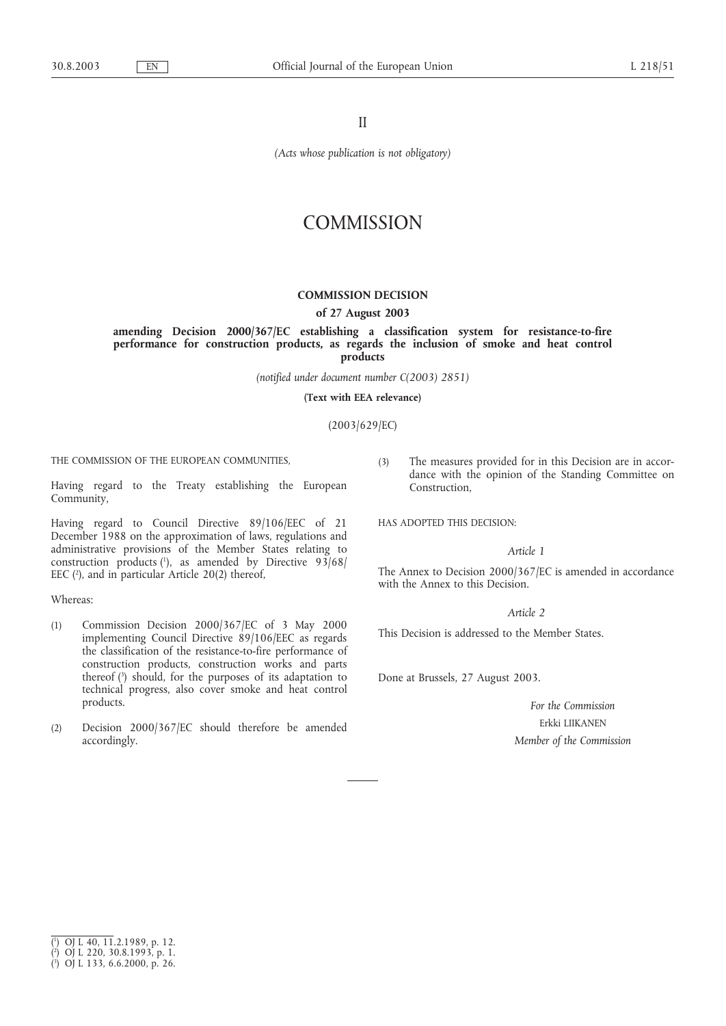II

*(Acts whose publication is not obligatory)*

# **COMMISSION**

## **COMMISSION DECISION**

#### **of 27 August 2003**

**amending Decision 2000/367/EC establishing a classification system for resistance-to-fire performance for construction products, as regards the inclusion of smoke and heat control products**

*(notified under document number C(2003) 2851)*

**(Text with EEA relevance)**

(2003/629/EC)

THE COMMISSION OF THE EUROPEAN COMMUNITIES,

Having regard to the Treaty establishing the European Community,

Having regard to Council Directive 89/106/EEC of 21 December 1988 on the approximation of laws, regulations and administrative provisions of the Member States relating to construction products  $(1)$ , as amended by Directive 93/68/ EEC  $(2)$ , and in particular Article 20(2) thereof,

#### Whereas:

- (1) Commission Decision 2000/367/EC of 3 May 2000 implementing Council Directive 89/106/EEC as regards the classification of the resistance-to-fire performance of construction products, construction works and parts thereof (3 ) should, for the purposes of its adaptation to technical progress, also cover smoke and heat control products.
- (2) Decision 2000/367/EC should therefore be amended accordingly.

(3) The measures provided for in this Decision are in accordance with the opinion of the Standing Committee on Construction,

HAS ADOPTED THIS DECISION:

### *Article 1*

The Annex to Decision 2000/367/EC is amended in accordance with the Annex to this Decision.

## *Article 2*

This Decision is addressed to the Member States.

Done at Brussels, 27 August 2003.

*For the Commission* Erkki LIIKANEN *Member of the Commission*

<sup>(</sup> 1 ) OJ L 40, 11.2.1989, p. 12.

<sup>(</sup> 2 ) OJ L 220, 30.8.1993, p. 1.

<sup>(</sup> 3 ) OJ L 133, 6.6.2000, p. 26.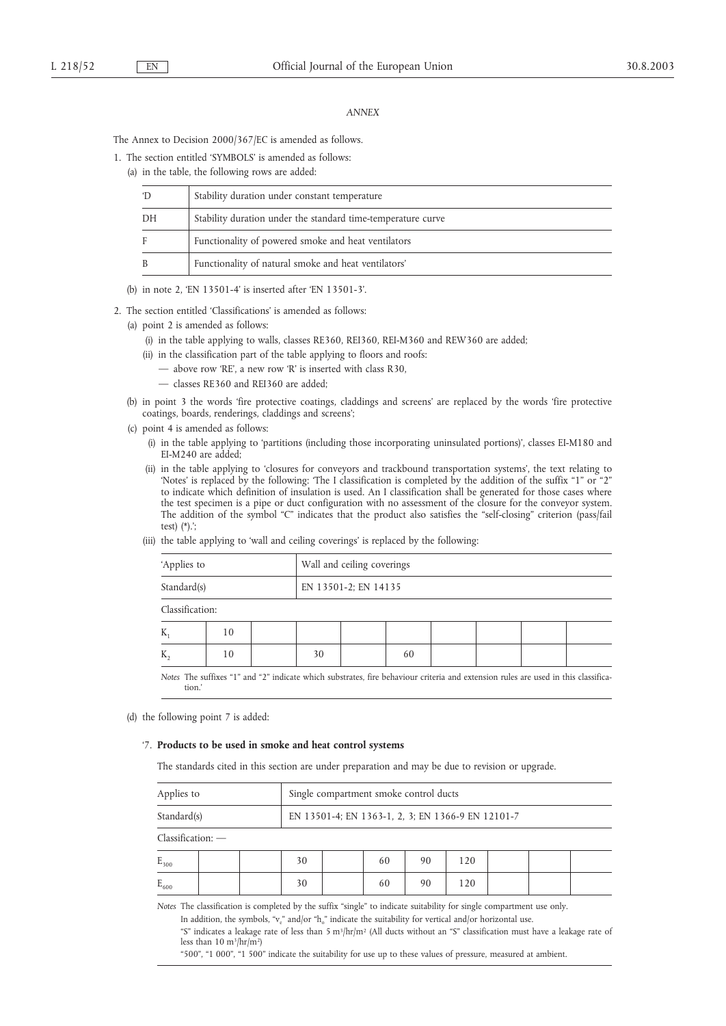#### *ANNEX*

The Annex to Decision 2000/367/EC is amended as follows.

1. The section entitled 'SYMBOLS' is amended as follows:

(a) in the table, the following rows are added:

| 'D | Stability duration under constant temperature                |
|----|--------------------------------------------------------------|
| DH | Stability duration under the standard time-temperature curve |
| F  | Functionality of powered smoke and heat ventilators          |
| B  | Functionality of natural smoke and heat ventilators'         |

(b) in note 2, 'EN 13501-4' is inserted after 'EN 13501-3'.

2. The section entitled 'Classifications' is amended as follows:

- (a) point 2 is amended as follows:
	- (i) in the table applying to walls, classes RE360, REI360, REI-M360 and REW360 are added;
	- (ii) in the classification part of the table applying to floors and roofs:
		- above row 'RE', a new row 'R' is inserted with class R30,
		- classes RE360 and REI360 are added;
- (b) in point 3 the words 'fire protective coatings, claddings and screens' are replaced by the words 'fire protective coatings, boards, renderings, claddings and screens';
- (c) point 4 is amended as follows:
	- (i) in the table applying to 'partitions (including those incorporating uninsulated portions)', classes EI-M180 and EI-M240 are added;
	- (ii) in the table applying to 'closures for conveyors and trackbound transportation systems', the text relating to 'Notes' is replaced by the following: 'The I classification is completed by the addition of the suffix "1" or "2" to indicate which definition of insulation is used. An I classification shall be generated for those cases where the test specimen is a pipe or duct configuration with no assessment of the closure for the conveyor system. The addition of the symbol "C" indicates that the product also satisfies the "self-closing" criterion (pass/fail test) (\*).';
	- (iii) the table applying to 'wall and ceiling coverings' is replaced by the following:

| 'Applies to     |    |  | Wall and ceiling coverings |  |    |  |  |  |  |  |  |
|-----------------|----|--|----------------------------|--|----|--|--|--|--|--|--|
| Standard(s)     |    |  | EN 13501-2; EN 14135       |  |    |  |  |  |  |  |  |
| Classification: |    |  |                            |  |    |  |  |  |  |  |  |
| $K_{1}$         | 10 |  |                            |  |    |  |  |  |  |  |  |
| $K_{2}$         | 10 |  | 30                         |  | 60 |  |  |  |  |  |  |

*Notes* The suffixes "1" and "2" indicate which substrates, fire behaviour criteria and extension rules are used in this classification.'

(d) the following point 7 is added:

#### '7. **Products to be used in smoke and heat control systems**

The standards cited in this section are under preparation and may be due to revision or upgrade.

| Applies to                                                                                                            | Single compartment smoke control ducts |                                                   |  |    |    |     |  |  |  |
|-----------------------------------------------------------------------------------------------------------------------|----------------------------------------|---------------------------------------------------|--|----|----|-----|--|--|--|
| Standard(s)                                                                                                           |                                        | EN 13501-4; EN 1363-1, 2, 3; EN 1366-9 EN 12101-7 |  |    |    |     |  |  |  |
| Classification: -                                                                                                     |                                        |                                                   |  |    |    |     |  |  |  |
| $E_{300}$                                                                                                             |                                        | 30                                                |  | 60 | 90 | 120 |  |  |  |
| $E_{600}$                                                                                                             |                                        | 30                                                |  | 60 | 90 | 120 |  |  |  |
| Notes The classification is completed by the suffix "single" to indicate suitability for single compartment use only. |                                        |                                                   |  |    |    |     |  |  |  |

In addition, the symbols, " $v_e$ " and/or "h<sub>o</sub>" indicate the suitability for vertical and/or horizontal use.

"S" indicates a leakage rate of less than 5 m<sup>3</sup>/hr/m<sup>2</sup> (All ducts without an "S" classification must have a leakage rate of less than  $10 \text{ m}^3/\text{hr/m}^2$ 

"500", "1 000", "1 500" indicate the suitability for use up to these values of pressure, measured at ambient.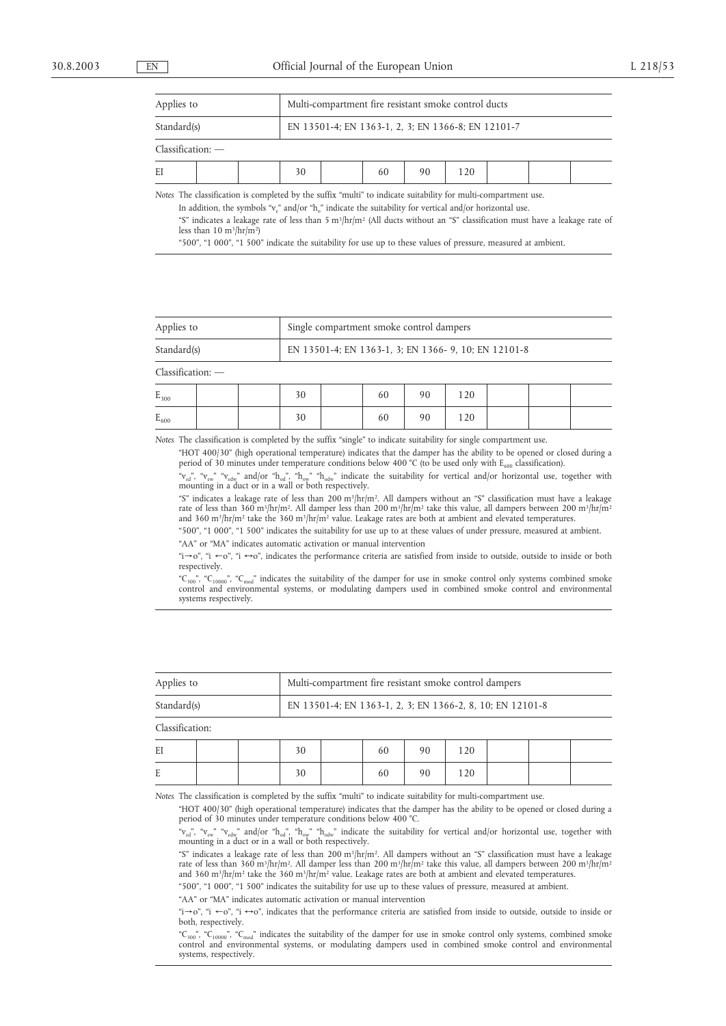| Applies to          |                                                    |  | Multi-compartment fire resistant smoke control ducts |  |    |    |     |  |  |  |  |
|---------------------|----------------------------------------------------|--|------------------------------------------------------|--|----|----|-----|--|--|--|--|
| Standard(s)         | EN 13501-4; EN 1363-1, 2, 3; EN 1366-8; EN 12101-7 |  |                                                      |  |    |    |     |  |  |  |  |
| $Classification:$ — |                                                    |  |                                                      |  |    |    |     |  |  |  |  |
| EI                  |                                                    |  | 30                                                   |  | 60 | 90 | 120 |  |  |  |  |

*Notes* The classification is completed by the suffix "multi" to indicate suitability for multi-compartment use.

In addition, the symbols "v $_{\rm e}$ " and/or "h $_{\rm o}$ " indicate the suitability for vertical and/or horizontal use. "S" indicates a leakage rate of less than 5 m<sup>3</sup>/hr/m<sup>2</sup> (All ducts without an "S" classification must have a leakage rate of less than 10 m3/hr/m2)

"500", "1 000", "1 500" indicate the suitability for use up to these values of pressure, measured at ambient.

| Applies to  | <sup>1</sup> Single compartment smoke control dampers            |
|-------------|------------------------------------------------------------------|
| Standard(s) | <sup>1</sup> EN 13501-4; EN 1363-1, 3; EN 1366-9, 10; EN 12101-8 |

Classification: —

| $E_{300}$ |  | 30 | 60 | 90 | 120 |  |  |
|-----------|--|----|----|----|-----|--|--|
| $E_{600}$ |  | 30 | 60 | 90 | 120 |  |  |

*Notes* The classification is completed by the suffix "single" to indicate suitability for single compartment use.

"HOT 400/30" (high operational temperature) indicates that the damper has the ability to be opened or closed during a period of 30 minutes under temperature conditions below 400 °C (to be used only with  $E_{600}$  classification).

" $V_{\text{ed}}$ ", " $V_{\text{ew}}$ " " $V_{\text{edw}}$ " and/or "h<sub>od</sub>", "h<sub>odw</sub>" "h<sub>odw</sub>" indicate the suitability for vertical and/or horizontal use, together with mounting in a duct or in a wall or both respectively.

"S" indicates a leakage rate of less than 200 m3/hr/m2. All dampers without an "S" classification must have a leakage rate of less than 360 m<sup>3</sup>/hr/m<sup>2</sup>. All damper less than 200 m<sup>3</sup>/hr/m<sup>2</sup> take this value, all dampers between 200 m<sup>3</sup>/hr/m<sup>2</sup> and 360 m<sup>3</sup>/hr/m<sup>2</sup> take the 360 m<sup>3</sup>/hr/m<sup>2</sup> value. Leakage rates are both at ambient and elevated temperatures.

"500", "1 000", "1 500" indicates the suitability for use up to at these values of under pressure, measured at ambient. "AA" or "MA" indicates automatic activation or manual intervention

"i→o", "i ←o", "i  $\leftrightarrow$ o", indicates the performance criteria are satisfied from inside to outside, outside to inside or both respectively.

"C<sub>300</sub>", "C<sub>10000</sub>", "C<sub>mod</sub>" indicates the suitability of the damper for use in smoke control only systems combined smoke control and environmental systems, or modulating dampers used in combined smoke control and environmental systems respectively.

| Applies to      |  | Multi-compartment fire resistant smoke control dampers    |  |    |    |  |  |  |  |  |
|-----------------|--|-----------------------------------------------------------|--|----|----|--|--|--|--|--|
| Standard(s)     |  | EN 13501-4; EN 1363-1, 2, 3; EN 1366-2, 8, 10; EN 12101-8 |  |    |    |  |  |  |  |  |
| Classification: |  |                                                           |  |    |    |  |  |  |  |  |
| EI              |  | 30                                                        |  | 60 | 90 |  |  |  |  |  |

*Notes* The classification is completed by the suffix "multi" to indicate suitability for multi-compartment use.

"HOT 400/30" (high operational temperature) indicates that the damper has the ability to be opened or closed during a period of 30 minutes under temperature conditions below 400 °C.

" $v_{\mu_0}$ ", " $v_{\mu_0}$ ""  $v_{\mu_0}$ " and/or "h<sub>od</sub>", "h<sub>ow</sub>" "h<sub>odw</sub>" indicate the suitability for vertical and/or horizontal use, together with mounting in a duct or in a wall or both respectively.

"S" indicates a leakage rate of less than 200 m3/hr/m2. All dampers without an "S" classification must have a leakage rate of less than 360 m3/hr/m2. All damper less than 200 m3/hr/m2 take this value, all dampers between 200 m3/hr/m2 and 360 m<sup>3</sup>/hr/m<sup>2</sup> take the 360 m<sup>3</sup>/hr/m<sup>2</sup> value. Leakage rates are both at ambient and elevated temperatures.

"500", "1 000", "1 500" indicates the suitability for use up to these values of pressure, measured at ambient.

"AA" or "MA" indicates automatic activation or manual intervention

E | | | 30 | | 60 | 90 | 120

"i→o", "i  $\leftarrow$ o", "i  $\leftarrow$ o", indicates that the performance criteria are satisfied from inside to outside, outside to inside or both, respectively.

"C<sub>300</sub>", "C<sub>10000</sub>", "C<sub>mod</sub>" indicates the suitability of the damper for use in smoke control only systems, combined smoke<br>control and environmental systems, or modulating dampers used in combined smoke control and envir systems, respectively.